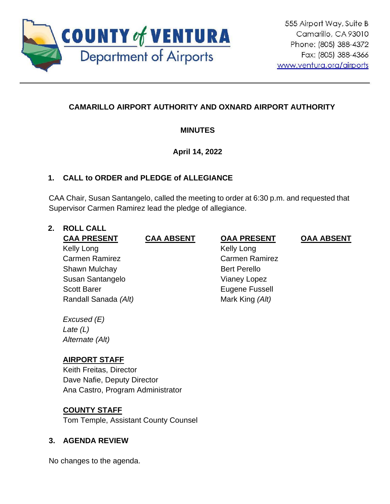

# **CAMARILLO AIRPORT AUTHORITY AND OXNARD AIRPORT AUTHORITY**

# **MINUTES**

# **April 14, 2022**

# **1. CALL to ORDER and PLEDGE of ALLEGIANCE**

CAA Chair, Susan Santangelo, called the meeting to order at 6:30 p.m. and requested that Supervisor Carmen Ramirez lead the pledge of allegiance.

# **2. ROLL CALL**

# Kelly Long Carmen Ramirez Shawn Mulchay Susan Santangelo Scott Barer Randall Sanada *(Alt)*

# *Excused (E) Late (L) Alternate (Alt)*

# **AIRPORT STAFF**

Keith Freitas, Director Dave Nafie, Deputy Director Ana Castro, Program Administrator

# **COUNTY STAFF**

Tom Temple, Assistant County Counsel

# **3. AGENDA REVIEW**

No changes to the agenda.

# **CAA PRESENT CAA ABSENT OAA PRESENT OAA ABSENT**

 Kelly Long Carmen Ramirez Bert Perello Vianey Lopez Eugene Fussell Mark King *(Alt)*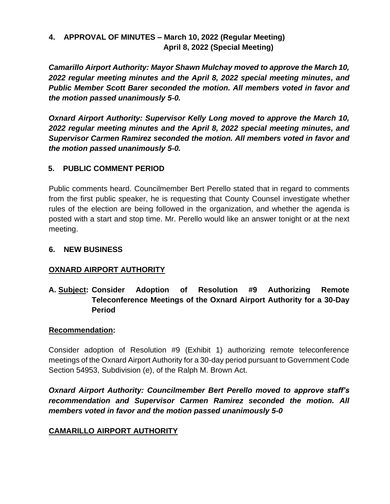# **4. APPROVAL OF MINUTES – March 10, 2022 (Regular Meeting) April 8, 2022 (Special Meeting)**

*Camarillo Airport Authority: Mayor Shawn Mulchay moved to approve the March 10, 2022 regular meeting minutes and the April 8, 2022 special meeting minutes, and Public Member Scott Barer seconded the motion. All members voted in favor and the motion passed unanimously 5-0.*

*Oxnard Airport Authority: Supervisor Kelly Long moved to approve the March 10, 2022 regular meeting minutes and the April 8, 2022 special meeting minutes, and Supervisor Carmen Ramirez seconded the motion. All members voted in favor and the motion passed unanimously 5-0.*

### **5. PUBLIC COMMENT PERIOD**

Public comments heard. Councilmember Bert Perello stated that in regard to comments from the first public speaker, he is requesting that County Counsel investigate whether rules of the election are being followed in the organization, and whether the agenda is posted with a start and stop time. Mr. Perello would like an answer tonight or at the next meeting.

# **6. NEW BUSINESS**

# **OXNARD AIRPORT AUTHORITY**

# **A. Subject: Consider Adoption of Resolution #9 Authorizing Remote Teleconference Meetings of the Oxnard Airport Authority for a 30-Day Period**

### **Recommendation:**

Consider adoption of Resolution #9 (Exhibit 1) authorizing remote teleconference meetings of the Oxnard Airport Authority for a 30-day period pursuant to Government Code Section 54953, Subdivision (e), of the Ralph M. Brown Act.

*Oxnard Airport Authority: Councilmember Bert Perello moved to approve staff's recommendation and Supervisor Carmen Ramirez seconded the motion. All members voted in favor and the motion passed unanimously 5-0*

# **CAMARILLO AIRPORT AUTHORITY**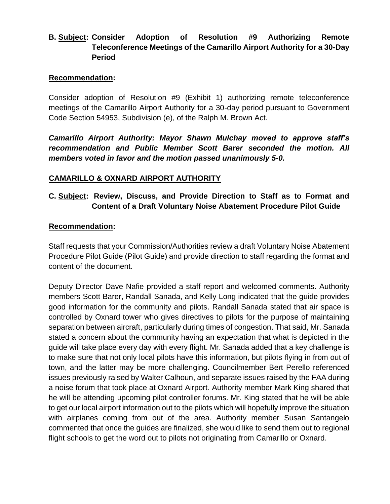# **B. Subject: Consider Adoption of Resolution #9 Authorizing Remote Teleconference Meetings of the Camarillo Airport Authority for a 30-Day Period**

#### **Recommendation:**

Consider adoption of Resolution #9 (Exhibit 1) authorizing remote teleconference meetings of the Camarillo Airport Authority for a 30-day period pursuant to Government Code Section 54953, Subdivision (e), of the Ralph M. Brown Act.

*Camarillo Airport Authority: Mayor Shawn Mulchay moved to approve staff's recommendation and Public Member Scott Barer seconded the motion. All members voted in favor and the motion passed unanimously 5-0.*

#### **CAMARILLO & OXNARD AIRPORT AUTHORITY**

### **C. Subject: Review, Discuss, and Provide Direction to Staff as to Format and Content of a Draft Voluntary Noise Abatement Procedure Pilot Guide**

#### **Recommendation:**

Staff requests that your Commission/Authorities review a draft Voluntary Noise Abatement Procedure Pilot Guide (Pilot Guide) and provide direction to staff regarding the format and content of the document.

Deputy Director Dave Nafie provided a staff report and welcomed comments. Authority members Scott Barer, Randall Sanada, and Kelly Long indicated that the guide provides good information for the community and pilots. Randall Sanada stated that air space is controlled by Oxnard tower who gives directives to pilots for the purpose of maintaining separation between aircraft, particularly during times of congestion. That said, Mr. Sanada stated a concern about the community having an expectation that what is depicted in the guide will take place every day with every flight. Mr. Sanada added that a key challenge is to make sure that not only local pilots have this information, but pilots flying in from out of town, and the latter may be more challenging. Councilmember Bert Perello referenced issues previously raised by Walter Calhoun, and separate issues raised by the FAA during a noise forum that took place at Oxnard Airport. Authority member Mark King shared that he will be attending upcoming pilot controller forums. Mr. King stated that he will be able to get our local airport information out to the pilots which will hopefully improve the situation with airplanes coming from out of the area. Authority member Susan Santangelo commented that once the guides are finalized, she would like to send them out to regional flight schools to get the word out to pilots not originating from Camarillo or Oxnard.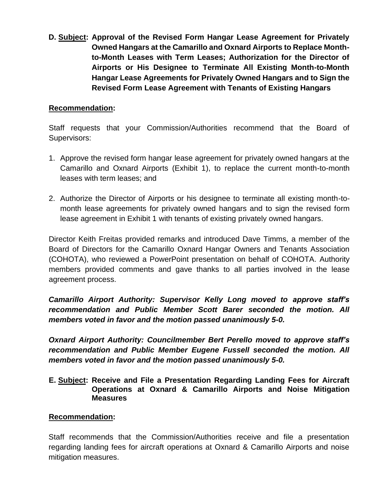**D. Subject: Approval of the Revised Form Hangar Lease Agreement for Privately Owned Hangars at the Camarillo and Oxnard Airports to Replace Monthto-Month Leases with Term Leases; Authorization for the Director of Airports or His Designee to Terminate All Existing Month-to-Month Hangar Lease Agreements for Privately Owned Hangars and to Sign the Revised Form Lease Agreement with Tenants of Existing Hangars**

#### **Recommendation:**

Staff requests that your Commission/Authorities recommend that the Board of Supervisors:

- 1. Approve the revised form hangar lease agreement for privately owned hangars at the Camarillo and Oxnard Airports (Exhibit 1), to replace the current month-to-month leases with term leases; and
- 2. Authorize the Director of Airports or his designee to terminate all existing month-tomonth lease agreements for privately owned hangars and to sign the revised form lease agreement in Exhibit 1 with tenants of existing privately owned hangars.

Director Keith Freitas provided remarks and introduced Dave Timms, a member of the Board of Directors for the Camarillo Oxnard Hangar Owners and Tenants Association (COHOTA), who reviewed a PowerPoint presentation on behalf of COHOTA. Authority members provided comments and gave thanks to all parties involved in the lease agreement process.

*Camarillo Airport Authority: Supervisor Kelly Long moved to approve staff's recommendation and Public Member Scott Barer seconded the motion. All members voted in favor and the motion passed unanimously 5-0.*

*Oxnard Airport Authority: Councilmember Bert Perello moved to approve staff's recommendation and Public Member Eugene Fussell seconded the motion. All members voted in favor and the motion passed unanimously 5-0.*

**E. Subject: Receive and File a Presentation Regarding Landing Fees for Aircraft Operations at Oxnard & Camarillo Airports and Noise Mitigation Measures**

#### **Recommendation:**

Staff recommends that the Commission/Authorities receive and file a presentation regarding landing fees for aircraft operations at Oxnard & Camarillo Airports and noise mitigation measures.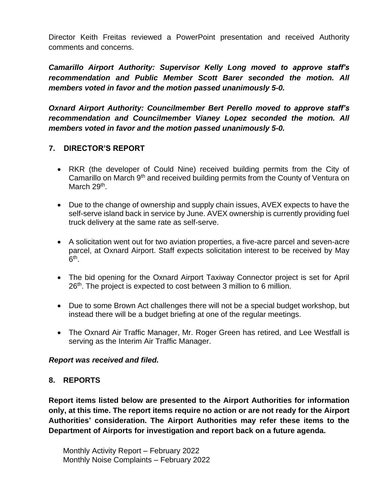Director Keith Freitas reviewed a PowerPoint presentation and received Authority comments and concerns.

*Camarillo Airport Authority: Supervisor Kelly Long moved to approve staff's recommendation and Public Member Scott Barer seconded the motion. All members voted in favor and the motion passed unanimously 5-0.*

*Oxnard Airport Authority: Councilmember Bert Perello moved to approve staff's recommendation and Councilmember Vianey Lopez seconded the motion. All members voted in favor and the motion passed unanimously 5-0.*

# **7. DIRECTOR'S REPORT**

- RKR (the developer of Could Nine) received building permits from the City of Camarillo on March 9th and received building permits from the County of Ventura on March 29<sup>th</sup>.
- Due to the change of ownership and supply chain issues, AVEX expects to have the self-serve island back in service by June. AVEX ownership is currently providing fuel truck delivery at the same rate as self-serve.
- A solicitation went out for two aviation properties, a five-acre parcel and seven-acre parcel, at Oxnard Airport. Staff expects solicitation interest to be received by May  $6^{\text{th}}$ .
- The bid opening for the Oxnard Airport Taxiway Connector project is set for April 26<sup>th</sup>. The project is expected to cost between 3 million to 6 million.
- Due to some Brown Act challenges there will not be a special budget workshop, but instead there will be a budget briefing at one of the regular meetings.
- The Oxnard Air Traffic Manager, Mr. Roger Green has retired, and Lee Westfall is serving as the Interim Air Traffic Manager.

#### *Report was received and filed.*

#### **8. REPORTS**

**Report items listed below are presented to the Airport Authorities for information only, at this time. The report items require no action or are not ready for the Airport Authorities' consideration. The Airport Authorities may refer these items to the Department of Airports for investigation and report back on a future agenda.** 

Monthly Activity Report – February 2022 Monthly Noise Complaints – February 2022